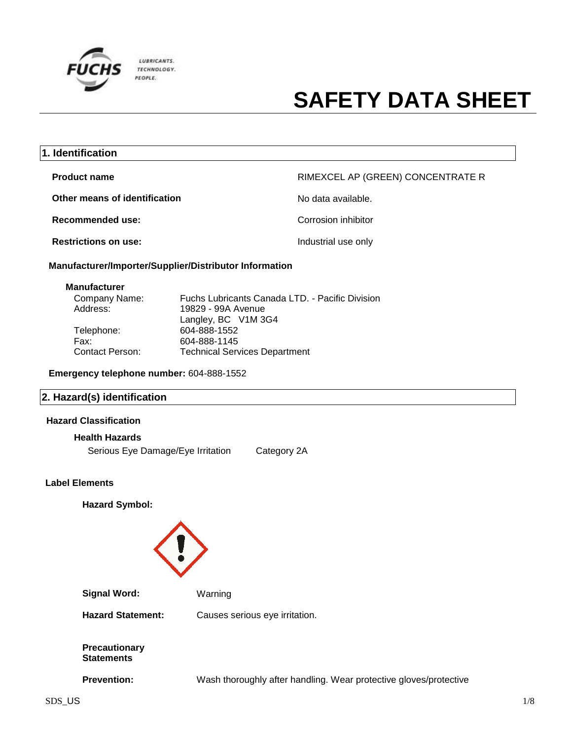

| 1. Identification                                      |                                   |
|--------------------------------------------------------|-----------------------------------|
| <b>Product name</b>                                    | RIMEXCEL AP (GREEN) CONCENTRATE R |
| Other means of identification                          | No data available.                |
| Recommended use:                                       | Corrosion inhibitor               |
| <b>Restrictions on use:</b>                            | Industrial use only               |
| Manufacturer/Importer/Supplier/Distributor Information |                                   |

#### **Manufacturer**

| Company Name:   | Fuchs Lubricants Canada LTD. - Pacific Division |
|-----------------|-------------------------------------------------|
| Address:        | 19829 - 99A Avenue                              |
|                 | Langley, BC V1M 3G4                             |
| Telephone:      | 604-888-1552                                    |
| Fax:            | 604-888-1145                                    |
| Contact Person: | <b>Technical Services Department</b>            |
|                 |                                                 |

**Emergency telephone number:** 604-888-1552

## **2. Hazard(s) identification**

### **Hazard Classification**

#### **Health Hazards**

Serious Eye Damage/Eye Irritation Category 2A

#### **Label Elements**

**Hazard Symbol:**

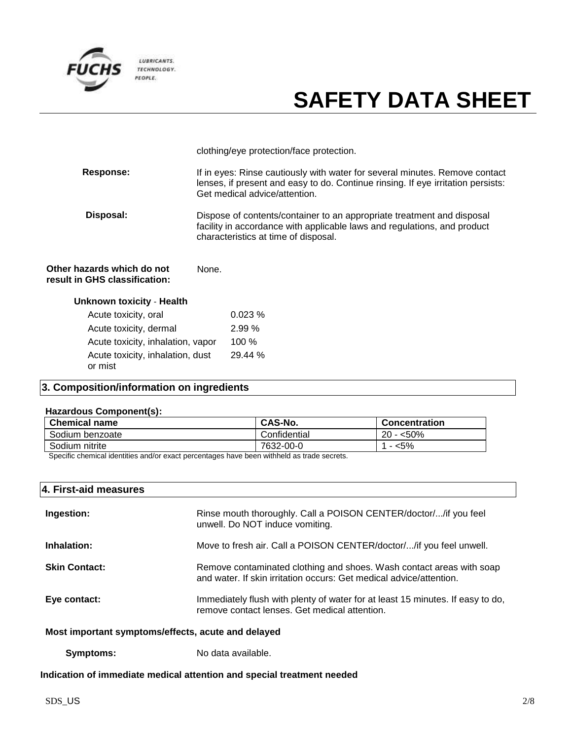

clothing/eye protection/face protection.

| <b>Response:</b> | If in eyes: Rinse cautiously with water for several minutes. Remove contact<br>lenses, if present and easy to do. Continue rinsing. If eye irritation persists:<br>Get medical advice/attention. |
|------------------|--------------------------------------------------------------------------------------------------------------------------------------------------------------------------------------------------|
| Disposal:        | Dispose of contents/container to an appropriate treatment and disposal<br>facility in accordance with applicable laws and regulations, and product<br>characteristics at time of disposal.       |

#### **Other hazards which do not result in GHS classification:** None.

| <b>Unknown toxicity - Health</b>            |         |
|---------------------------------------------|---------|
| Acute toxicity, oral                        | 0.023%  |
| Acute toxicity, dermal                      | 2.99%   |
| Acute toxicity, inhalation, vapor           | $100\%$ |
| Acute toxicity, inhalation, dust<br>or mist | 29.44 % |

## **3. Composition/information on ingredients**

### **Hazardous Component(s):**

| <b>Chemical name</b> | CAS-No.      | <b>Concentration</b> |
|----------------------|--------------|----------------------|
| Sodium benzoate      | Confidential | $20 - 50\%$          |
| Sodium nitrite       | 7632-00-0    | <5%                  |

Specific chemical identities and/or exact percentages have been withheld as trade secrets.

| 4. First-aid measures                              |                                                                                                                                             |
|----------------------------------------------------|---------------------------------------------------------------------------------------------------------------------------------------------|
| Ingestion:                                         | Rinse mouth thoroughly. Call a POISON CENTER/doctor//if you feel<br>unwell. Do NOT induce vomiting.                                         |
| Inhalation:                                        | Move to fresh air. Call a POISON CENTER/doctor//if you feel unwell.                                                                         |
| <b>Skin Contact:</b>                               | Remove contaminated clothing and shoes. Wash contact areas with soap<br>and water. If skin irritation occurs: Get medical advice/attention. |
| Eye contact:                                       | Immediately flush with plenty of water for at least 15 minutes. If easy to do,<br>remove contact lenses. Get medical attention.             |
| Most important symptoms/effects, acute and delayed |                                                                                                                                             |

**Symptoms:** No data available.

**Indication of immediate medical attention and special treatment needed**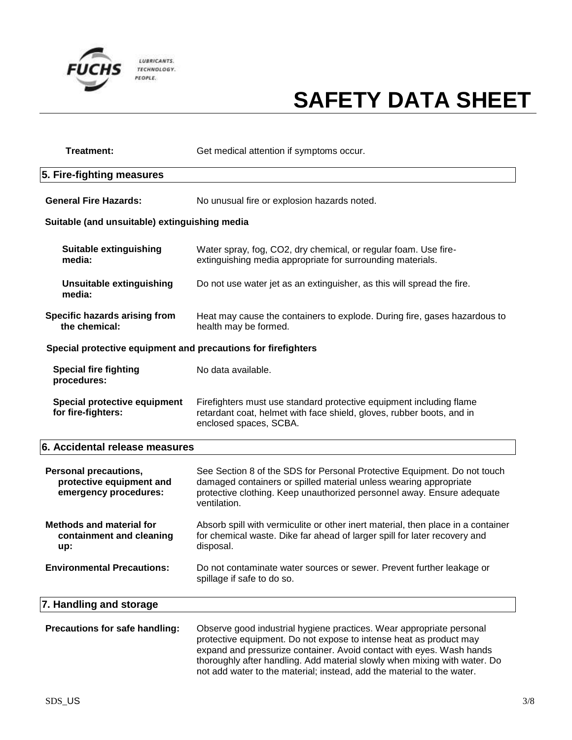

| <b>Treatment:</b>                                                                 | Get medical attention if symptoms occur.                                                                                                                                                                                                                                                                                                                                  |
|-----------------------------------------------------------------------------------|---------------------------------------------------------------------------------------------------------------------------------------------------------------------------------------------------------------------------------------------------------------------------------------------------------------------------------------------------------------------------|
| 5. Fire-fighting measures                                                         |                                                                                                                                                                                                                                                                                                                                                                           |
| <b>General Fire Hazards:</b>                                                      | No unusual fire or explosion hazards noted.                                                                                                                                                                                                                                                                                                                               |
| Suitable (and unsuitable) extinguishing media                                     |                                                                                                                                                                                                                                                                                                                                                                           |
| <b>Suitable extinguishing</b><br>media:                                           | Water spray, fog, CO2, dry chemical, or regular foam. Use fire-<br>extinguishing media appropriate for surrounding materials.                                                                                                                                                                                                                                             |
| <b>Unsuitable extinguishing</b><br>media:                                         | Do not use water jet as an extinguisher, as this will spread the fire.                                                                                                                                                                                                                                                                                                    |
| Specific hazards arising from<br>the chemical:                                    | Heat may cause the containers to explode. During fire, gases hazardous to<br>health may be formed.                                                                                                                                                                                                                                                                        |
| Special protective equipment and precautions for firefighters                     |                                                                                                                                                                                                                                                                                                                                                                           |
| <b>Special fire fighting</b><br>procedures:                                       | No data available.                                                                                                                                                                                                                                                                                                                                                        |
| Special protective equipment<br>for fire-fighters:                                | Firefighters must use standard protective equipment including flame<br>retardant coat, helmet with face shield, gloves, rubber boots, and in<br>enclosed spaces, SCBA.                                                                                                                                                                                                    |
| 6. Accidental release measures                                                    |                                                                                                                                                                                                                                                                                                                                                                           |
| <b>Personal precautions,</b><br>protective equipment and<br>emergency procedures: | See Section 8 of the SDS for Personal Protective Equipment. Do not touch<br>damaged containers or spilled material unless wearing appropriate<br>protective clothing. Keep unauthorized personnel away. Ensure adequate<br>ventilation.                                                                                                                                   |
| <b>Methods and material for</b><br>containment and cleaning<br>up:                | Absorb spill with vermiculite or other inert material, then place in a container<br>for chemical waste. Dike far ahead of larger spill for later recovery and<br>disposal.                                                                                                                                                                                                |
| <b>Environmental Precautions:</b>                                                 | Do not contaminate water sources or sewer. Prevent further leakage or<br>spillage if safe to do so.                                                                                                                                                                                                                                                                       |
| 7. Handling and storage                                                           |                                                                                                                                                                                                                                                                                                                                                                           |
| Precautions for safe handling:                                                    | Observe good industrial hygiene practices. Wear appropriate personal<br>protective equipment. Do not expose to intense heat as product may<br>expand and pressurize container. Avoid contact with eyes. Wash hands<br>thoroughly after handling. Add material slowly when mixing with water. Do<br>not add water to the material; instead, add the material to the water. |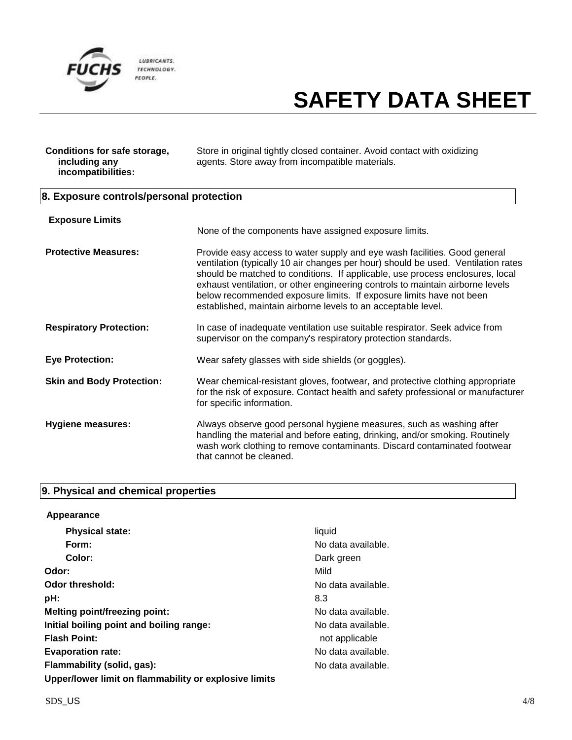

| Conditions for safe storage, | Store in original tightly closed container. Avoid contact with oxidizing |
|------------------------------|--------------------------------------------------------------------------|
| including any                | agents. Store away from incompatible materials.                          |
| incompatibilities:           |                                                                          |

## **8. Exposure controls/personal protection**

| None of the components have assigned exposure limits.                                                                                                                                                                                                                                                                                                                                                                                                                     |
|---------------------------------------------------------------------------------------------------------------------------------------------------------------------------------------------------------------------------------------------------------------------------------------------------------------------------------------------------------------------------------------------------------------------------------------------------------------------------|
| Provide easy access to water supply and eye wash facilities. Good general<br>ventilation (typically 10 air changes per hour) should be used. Ventilation rates<br>should be matched to conditions. If applicable, use process enclosures, local<br>exhaust ventilation, or other engineering controls to maintain airborne levels<br>below recommended exposure limits. If exposure limits have not been<br>established, maintain airborne levels to an acceptable level. |
| In case of inadequate ventilation use suitable respirator. Seek advice from<br>supervisor on the company's respiratory protection standards.                                                                                                                                                                                                                                                                                                                              |
| Wear safety glasses with side shields (or goggles).                                                                                                                                                                                                                                                                                                                                                                                                                       |
| Wear chemical-resistant gloves, footwear, and protective clothing appropriate<br>for the risk of exposure. Contact health and safety professional or manufacturer<br>for specific information.                                                                                                                                                                                                                                                                            |
| Always observe good personal hygiene measures, such as washing after<br>handling the material and before eating, drinking, and/or smoking. Routinely<br>wash work clothing to remove contaminants. Discard contaminated footwear<br>that cannot be cleaned.                                                                                                                                                                                                               |
|                                                                                                                                                                                                                                                                                                                                                                                                                                                                           |

## **9. Physical and chemical properties**

| Appearance                                            |                    |
|-------------------------------------------------------|--------------------|
| <b>Physical state:</b>                                | liquid             |
| Form:                                                 | No data available. |
| Color:                                                | Dark green         |
| Odor:                                                 | Mild               |
| <b>Odor threshold:</b>                                | No data available. |
| pH:                                                   | 8.3                |
| <b>Melting point/freezing point:</b>                  | No data available. |
| Initial boiling point and boiling range:              | No data available. |
| <b>Flash Point:</b>                                   | not applicable     |
| <b>Evaporation rate:</b>                              | No data available. |
| Flammability (solid, gas):                            | No data available. |
| Upper/lower limit on flammability or explosive limits |                    |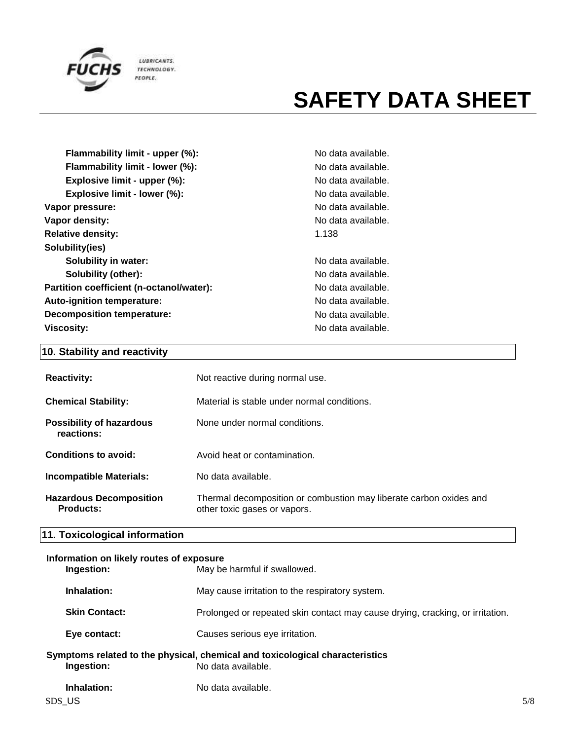

| Flammability limit - upper (%):          | No da |
|------------------------------------------|-------|
| Flammability limit - lower (%):          | No da |
| Explosive limit - upper (%):             | No da |
| Explosive limit - lower (%):             | No da |
| Vapor pressure:                          | No da |
| Vapor density:                           | No da |
| <b>Relative density:</b>                 | 1.138 |
| Solubility(ies)                          |       |
| <b>Solubility in water:</b>              | No da |
| <b>Solubility (other):</b>               | No da |
| Partition coefficient (n-octanol/water): | No da |
| Auto-ignition temperature:               | No da |
| <b>Decomposition temperature:</b>        | No da |
| <b>Viscosity:</b>                        | No da |

No data available. **No data available.** No data available. No data available. **Vapor pressure:** No data available. No data available.

**Solubility in water:** No data available. **Solubility (other):** No data available. No data available. **Auto-ignition temperature:** No data available. No data available. **Viscosity:** No data available.

## **10. Stability and reactivity**

| <b>Reactivity:</b>                            | Not reactive during normal use.                                                                    |
|-----------------------------------------------|----------------------------------------------------------------------------------------------------|
| <b>Chemical Stability:</b>                    | Material is stable under normal conditions.                                                        |
| <b>Possibility of hazardous</b><br>reactions: | None under normal conditions.                                                                      |
| Conditions to avoid:                          | Avoid heat or contamination.                                                                       |
| <b>Incompatible Materials:</b>                | No data available.                                                                                 |
| <b>Hazardous Decomposition</b><br>Products:   | Thermal decomposition or combustion may liberate carbon oxides and<br>other toxic gases or vapors. |

## **11. Toxicological information**

### **Information on likely routes of exposure**

| Ingestion:            | May be harmful if swallowed.                                                                       |     |
|-----------------------|----------------------------------------------------------------------------------------------------|-----|
| Inhalation:           | May cause irritation to the respiratory system.                                                    |     |
| <b>Skin Contact:</b>  | Prolonged or repeated skin contact may cause drying, cracking, or irritation.                      |     |
| Eye contact:          | Causes serious eye irritation.                                                                     |     |
| Ingestion:            | Symptoms related to the physical, chemical and toxicological characteristics<br>No data available. |     |
| Inhalation:<br>SDS US | No data available.                                                                                 | 5/8 |
|                       |                                                                                                    |     |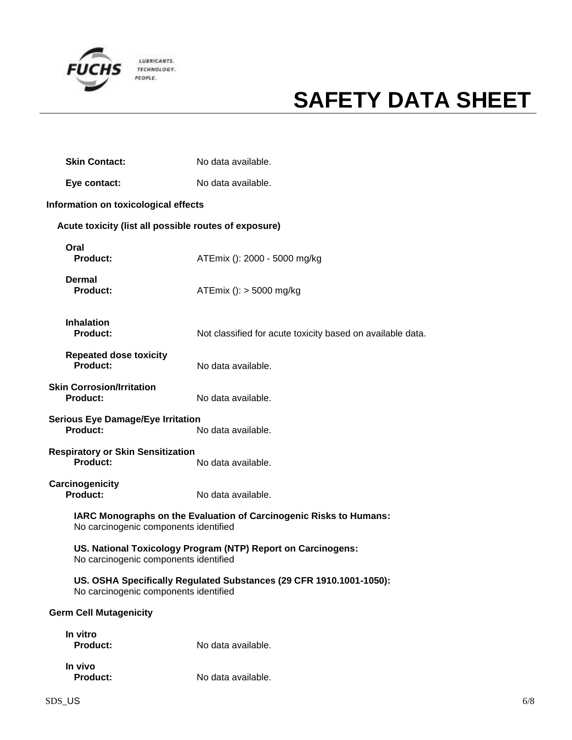

| <b>Skin Contact:</b>                                        | No data available.                                                  |
|-------------------------------------------------------------|---------------------------------------------------------------------|
| Eye contact:                                                | No data available.                                                  |
| Information on toxicological effects                        |                                                                     |
| Acute toxicity (list all possible routes of exposure)       |                                                                     |
| Oral<br>Product:                                            | ATEmix (): 2000 - 5000 mg/kg                                        |
| Dermal<br><b>Product:</b>                                   | ATEmix (): $>$ 5000 mg/kg                                           |
| <b>Inhalation</b><br><b>Product:</b>                        | Not classified for acute toxicity based on available data.          |
| <b>Repeated dose toxicity</b><br><b>Product:</b>            | No data available.                                                  |
| <b>Skin Corrosion/Irritation</b><br><b>Product:</b>         | No data available.                                                  |
| <b>Serious Eye Damage/Eye Irritation</b><br><b>Product:</b> | No data available.                                                  |
| <b>Respiratory or Skin Sensitization</b><br><b>Product:</b> | No data available.                                                  |
| Carcinogenicity<br><b>Product:</b>                          | No data available.                                                  |
| No carcinogenic components identified                       | IARC Monographs on the Evaluation of Carcinogenic Risks to Humans:  |
| No carcinogenic components identified                       | US. National Toxicology Program (NTP) Report on Carcinogens:        |
| No carcinogenic components identified                       | US. OSHA Specifically Regulated Substances (29 CFR 1910.1001-1050): |
| <b>Germ Cell Mutagenicity</b>                               |                                                                     |
| In vitro<br><b>Product:</b>                                 | No data available.                                                  |
| In vivo                                                     |                                                                     |

**Product:** No data available.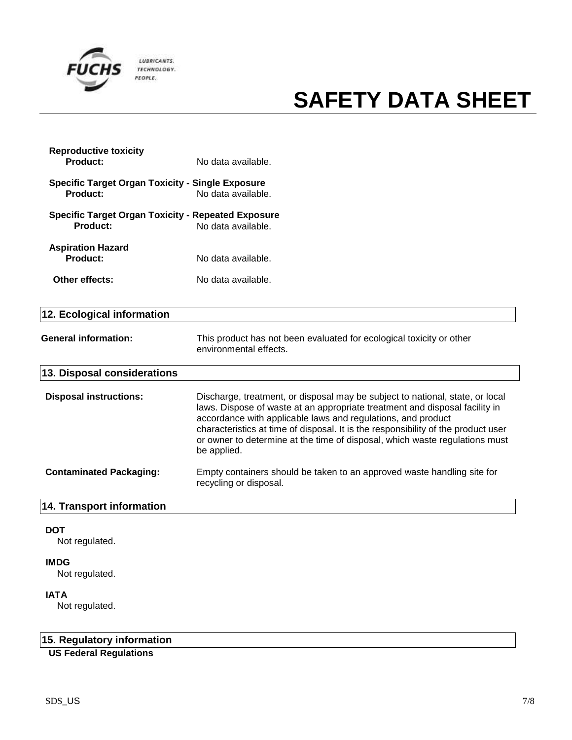

| <b>Reproductive toxicity</b><br><b>Product:</b>                              | No data available.                                                                                                                                                                                                                                                                                                                                                                                              |
|------------------------------------------------------------------------------|-----------------------------------------------------------------------------------------------------------------------------------------------------------------------------------------------------------------------------------------------------------------------------------------------------------------------------------------------------------------------------------------------------------------|
| <b>Specific Target Organ Toxicity - Single Exposure</b><br>Product:          | No data available.                                                                                                                                                                                                                                                                                                                                                                                              |
| <b>Specific Target Organ Toxicity - Repeated Exposure</b><br><b>Product:</b> | No data available.                                                                                                                                                                                                                                                                                                                                                                                              |
| <b>Aspiration Hazard</b><br><b>Product:</b>                                  | No data available.                                                                                                                                                                                                                                                                                                                                                                                              |
| Other effects:                                                               | No data available.                                                                                                                                                                                                                                                                                                                                                                                              |
| 12. Ecological information                                                   |                                                                                                                                                                                                                                                                                                                                                                                                                 |
| <b>General information:</b>                                                  | This product has not been evaluated for ecological toxicity or other<br>environmental effects.                                                                                                                                                                                                                                                                                                                  |
| 13. Disposal considerations                                                  |                                                                                                                                                                                                                                                                                                                                                                                                                 |
| <b>Disposal instructions:</b>                                                | Discharge, treatment, or disposal may be subject to national, state, or local<br>laws. Dispose of waste at an appropriate treatment and disposal facility in<br>accordance with applicable laws and regulations, and product<br>characteristics at time of disposal. It is the responsibility of the product user<br>or owner to determine at the time of disposal, which waste regulations must<br>be applied. |
| <b>Contaminated Packaging:</b>                                               | Empty containers should be taken to an approved waste handling site for<br>recycling or disposal.                                                                                                                                                                                                                                                                                                               |
| 14. Transport information                                                    |                                                                                                                                                                                                                                                                                                                                                                                                                 |
|                                                                              |                                                                                                                                                                                                                                                                                                                                                                                                                 |

### **DOT**

Not regulated.

### **IMDG**

Not regulated.

### **IATA**

Not regulated.

### **15. Regulatory information**

**US Federal Regulations**